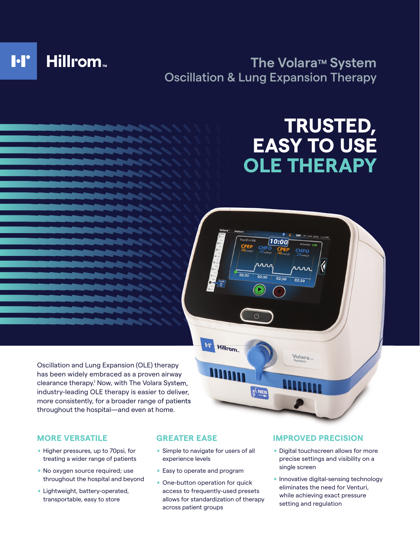

## **The Volara™ System** Oscillation & Lung Expansion Therapy

 $geO$  iof  $O$ 

**Hillrom** 

 $02:30$ 

D

**T' NEE** 

 $\bm{1}$ 0:00

 $02:30$ 

CHFO

൨൶

 $02:30$ 

Volara<sub>n</sub>

# **TRUSTED, EASY TO USE OLE THERAPY**

Oscillation and Lung Expansion (OLE) therapy has been widely embraced as a proven airway clearance therapy.<sup>1</sup> Now, with The Volara System, industry-leading OLE therapy is easier to deliver, more consistently, for a broader range of patients throughout the hospital—and even at home.

#### **MORE VERSATILE**

- . Higher pressures, up to 70psi, for treating a wider range of patients
- No oxygen source required; use throughout the hospital and beyond
- **Lightweight, battery-operated,** transportable, easy to store

#### **GREATER EASE**

- **Simple to navigate for users of all** experience levels
- **Easy to operate and program**
- **Domon Departion for quick** access to frequently-used presets allows for standardization of therapy across patient groups

#### **IMPROVED PRECISION**

- **Digital touchscreen allows for more** precise settings and visibility on a single screen
- **Innovative digital-sensing technology** eliminates the need for Venturi, while achieving exact pressure setting and regulation